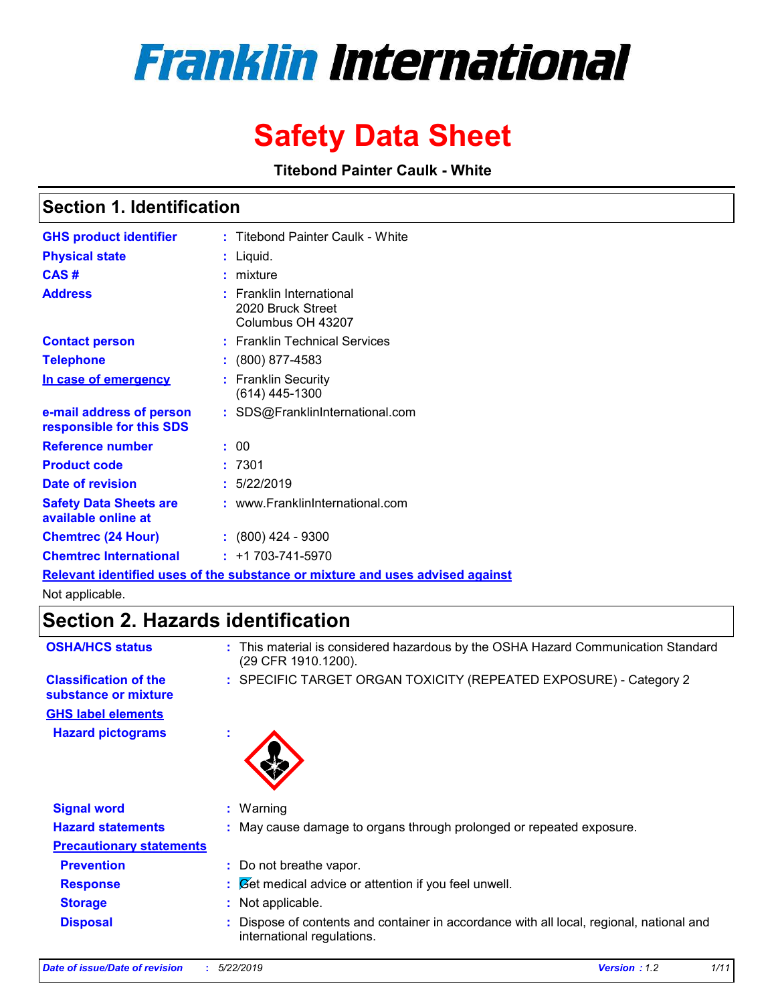# **Franklin International**

## **Safety Data Sheet**

**Titebond Painter Caulk - White**

### **Section 1. Identification**

| <b>GHS product identifier</b>                                                 |  | : Titebond Painter Caulk - White                                   |  |  |
|-------------------------------------------------------------------------------|--|--------------------------------------------------------------------|--|--|
| <b>Physical state</b>                                                         |  | : Liquid.                                                          |  |  |
| CAS#                                                                          |  | : mixture                                                          |  |  |
| <b>Address</b>                                                                |  | : Franklin International<br>2020 Bruck Street<br>Columbus OH 43207 |  |  |
| <b>Contact person</b>                                                         |  | : Franklin Technical Services                                      |  |  |
| <b>Telephone</b>                                                              |  | $: (800) 877 - 4583$                                               |  |  |
| In case of emergency                                                          |  | : Franklin Security<br>$(614)$ 445-1300                            |  |  |
| e-mail address of person<br>responsible for this SDS                          |  | : SDS@FranklinInternational.com                                    |  |  |
| <b>Reference number</b>                                                       |  | : 00                                                               |  |  |
| <b>Product code</b>                                                           |  | :7301                                                              |  |  |
| Date of revision                                                              |  | : 5/22/2019                                                        |  |  |
| <b>Safety Data Sheets are</b><br>available online at                          |  | : www.FranklinInternational.com                                    |  |  |
| <b>Chemtrec (24 Hour)</b>                                                     |  | $: (800)$ 424 - 9300                                               |  |  |
| <b>Chemtrec International</b>                                                 |  | $: +1703 - 741 - 5970$                                             |  |  |
| Relevant identified uses of the substance or mixture and uses advised against |  |                                                                    |  |  |

Not applicable.

### **Section 2. Hazards identification**

| <b>OSHA/HCS status</b>                               | This material is considered hazardous by the OSHA Hazard Communication Standard<br>÷.<br>(29 CFR 1910.1200).         |
|------------------------------------------------------|----------------------------------------------------------------------------------------------------------------------|
| <b>Classification of the</b><br>substance or mixture | : SPECIFIC TARGET ORGAN TOXICITY (REPEATED EXPOSURE) - Category 2                                                    |
| <b>GHS label elements</b>                            |                                                                                                                      |
| <b>Hazard pictograms</b>                             | ٠                                                                                                                    |
| <b>Signal word</b>                                   | $:$ Warning                                                                                                          |
| <b>Hazard statements</b>                             | : May cause damage to organs through prolonged or repeated exposure.                                                 |
| <b>Precautionary statements</b>                      |                                                                                                                      |
| <b>Prevention</b>                                    | : Do not breathe vapor.                                                                                              |
| <b>Response</b>                                      | $\mathcal{B}$ $\mathcal{B}$ et medical advice or attention if you feel unwell.                                       |
| <b>Storage</b>                                       | Not applicable.<br>÷.                                                                                                |
| <b>Disposal</b>                                      | Dispose of contents and container in accordance with all local, regional, national and<br>international regulations. |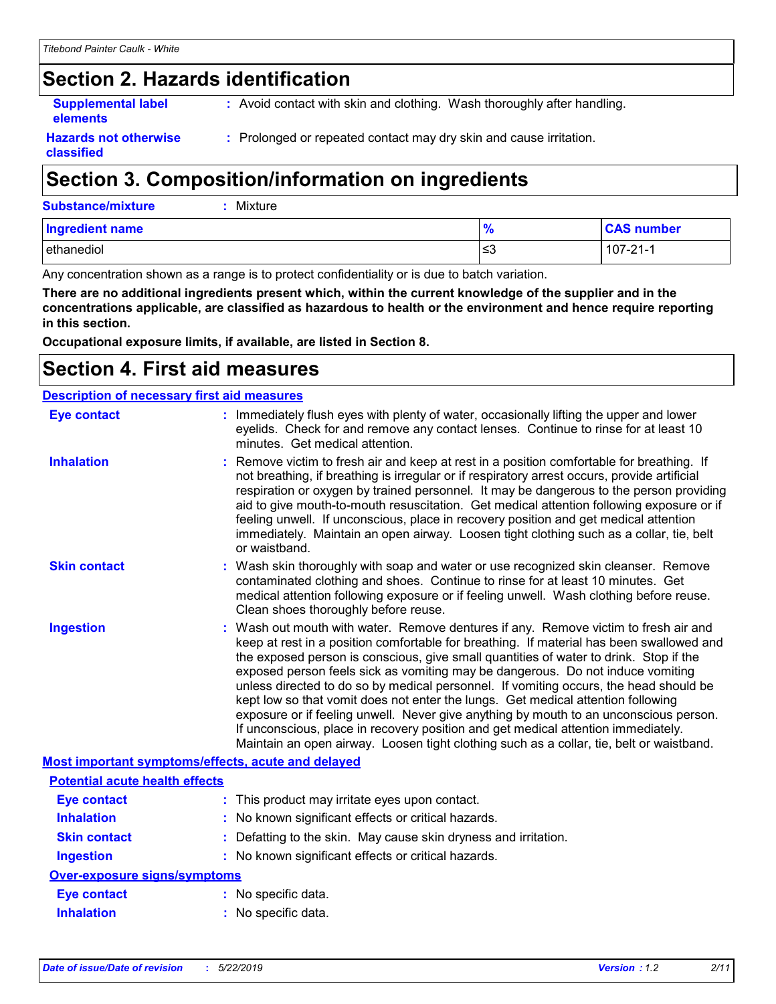### **Section 2. Hazards identification**

**Supplemental label elements**

**:** Avoid contact with skin and clothing. Wash thoroughly after handling.

**Hazards not otherwise classified**

**:** Prolonged or repeated contact may dry skin and cause irritation.

### **Section 3. Composition/information on ingredients**

| <b>Substance/mixture</b> | : Mixture |
|--------------------------|-----------|
|                          |           |

| <b>Ingredient name</b>   | $\Omega$<br>70 | <b>CAS number</b>           |
|--------------------------|----------------|-----------------------------|
| $\cdots$<br>l ethanediol | l≤3            | - 21<br>ے۔107<br>ا * − ا ہے |

Any concentration shown as a range is to protect confidentiality or is due to batch variation.

**There are no additional ingredients present which, within the current knowledge of the supplier and in the concentrations applicable, are classified as hazardous to health or the environment and hence require reporting in this section.**

**Occupational exposure limits, if available, are listed in Section 8.**

### **Section 4. First aid measures**

| <b>Description of necessary first aid measures</b> |                                                                                                                                                                                                                                                                                                                                                                                                                                                                                                                                                                                                                                                                                                                                                                                                                   |  |  |
|----------------------------------------------------|-------------------------------------------------------------------------------------------------------------------------------------------------------------------------------------------------------------------------------------------------------------------------------------------------------------------------------------------------------------------------------------------------------------------------------------------------------------------------------------------------------------------------------------------------------------------------------------------------------------------------------------------------------------------------------------------------------------------------------------------------------------------------------------------------------------------|--|--|
| <b>Eye contact</b>                                 | : Immediately flush eyes with plenty of water, occasionally lifting the upper and lower<br>eyelids. Check for and remove any contact lenses. Continue to rinse for at least 10<br>minutes. Get medical attention.                                                                                                                                                                                                                                                                                                                                                                                                                                                                                                                                                                                                 |  |  |
| <b>Inhalation</b>                                  | : Remove victim to fresh air and keep at rest in a position comfortable for breathing. If<br>not breathing, if breathing is irregular or if respiratory arrest occurs, provide artificial<br>respiration or oxygen by trained personnel. It may be dangerous to the person providing<br>aid to give mouth-to-mouth resuscitation. Get medical attention following exposure or if<br>feeling unwell. If unconscious, place in recovery position and get medical attention<br>immediately. Maintain an open airway. Loosen tight clothing such as a collar, tie, belt<br>or waistband.                                                                                                                                                                                                                              |  |  |
| <b>Skin contact</b>                                | : Wash skin thoroughly with soap and water or use recognized skin cleanser. Remove<br>contaminated clothing and shoes. Continue to rinse for at least 10 minutes. Get<br>medical attention following exposure or if feeling unwell. Wash clothing before reuse.<br>Clean shoes thoroughly before reuse.                                                                                                                                                                                                                                                                                                                                                                                                                                                                                                           |  |  |
| <b>Ingestion</b>                                   | : Wash out mouth with water. Remove dentures if any. Remove victim to fresh air and<br>keep at rest in a position comfortable for breathing. If material has been swallowed and<br>the exposed person is conscious, give small quantities of water to drink. Stop if the<br>exposed person feels sick as vomiting may be dangerous. Do not induce vomiting<br>unless directed to do so by medical personnel. If vomiting occurs, the head should be<br>kept low so that vomit does not enter the lungs. Get medical attention following<br>exposure or if feeling unwell. Never give anything by mouth to an unconscious person.<br>If unconscious, place in recovery position and get medical attention immediately.<br>Maintain an open airway. Loosen tight clothing such as a collar, tie, belt or waistband. |  |  |
| Most important symptoms/effects, acute and delayed |                                                                                                                                                                                                                                                                                                                                                                                                                                                                                                                                                                                                                                                                                                                                                                                                                   |  |  |
| <b>Potential acute health effects</b>              |                                                                                                                                                                                                                                                                                                                                                                                                                                                                                                                                                                                                                                                                                                                                                                                                                   |  |  |
| <b>Eye contact</b>                                 | : This product may irritate eyes upon contact.                                                                                                                                                                                                                                                                                                                                                                                                                                                                                                                                                                                                                                                                                                                                                                    |  |  |
| <b>Inhalation</b>                                  | : No known significant effects or critical hazards.                                                                                                                                                                                                                                                                                                                                                                                                                                                                                                                                                                                                                                                                                                                                                               |  |  |
| <b>Skin contact</b>                                | : Defatting to the skin. May cause skin dryness and irritation.                                                                                                                                                                                                                                                                                                                                                                                                                                                                                                                                                                                                                                                                                                                                                   |  |  |
| <b>Ingestion</b>                                   | : No known significant effects or critical hazards.                                                                                                                                                                                                                                                                                                                                                                                                                                                                                                                                                                                                                                                                                                                                                               |  |  |
| <b>Over-exposure signs/symptoms</b>                |                                                                                                                                                                                                                                                                                                                                                                                                                                                                                                                                                                                                                                                                                                                                                                                                                   |  |  |
| <b>Eye contact</b>                                 | : No specific data.                                                                                                                                                                                                                                                                                                                                                                                                                                                                                                                                                                                                                                                                                                                                                                                               |  |  |
| <b>Inhalation</b>                                  | : No specific data.                                                                                                                                                                                                                                                                                                                                                                                                                                                                                                                                                                                                                                                                                                                                                                                               |  |  |
|                                                    |                                                                                                                                                                                                                                                                                                                                                                                                                                                                                                                                                                                                                                                                                                                                                                                                                   |  |  |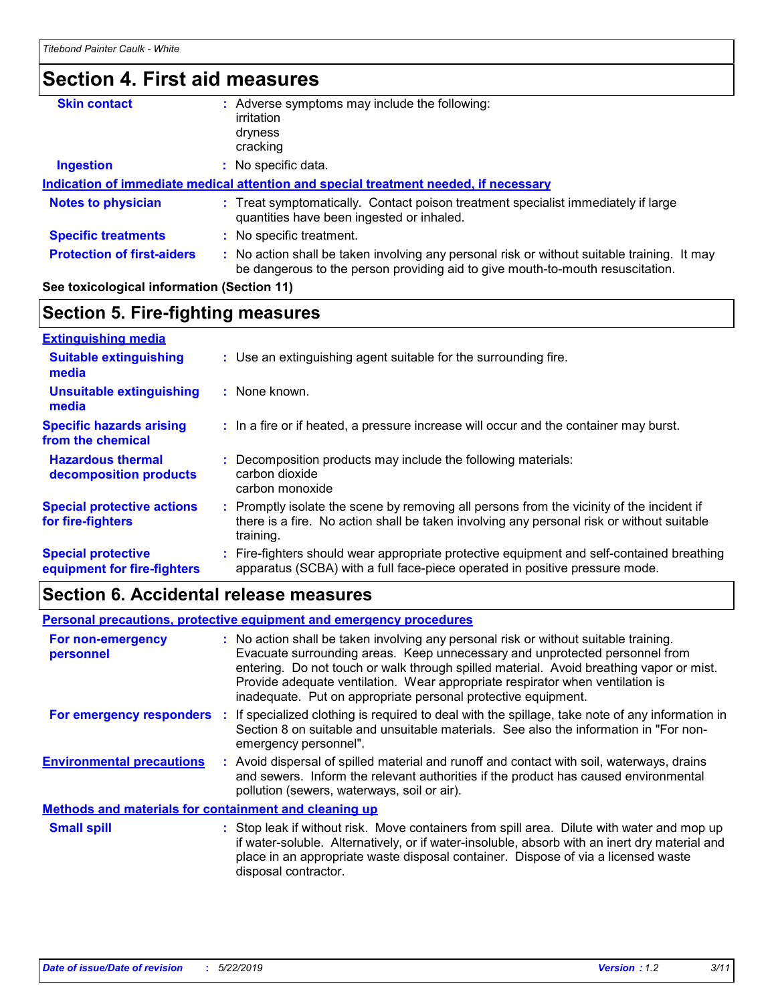### **Section 4. First aid measures**

| <b>Skin contact</b>               | Adverse symptoms may include the following:                                                                                                                                   |  |  |
|-----------------------------------|-------------------------------------------------------------------------------------------------------------------------------------------------------------------------------|--|--|
|                                   | irritation                                                                                                                                                                    |  |  |
|                                   | dryness                                                                                                                                                                       |  |  |
|                                   | cracking                                                                                                                                                                      |  |  |
| <b>Ingestion</b>                  | No specific data.                                                                                                                                                             |  |  |
|                                   | Indication of immediate medical attention and special treatment needed, if necessary                                                                                          |  |  |
| <b>Notes to physician</b>         | : Treat symptomatically. Contact poison treatment specialist immediately if large<br>quantities have been ingested or inhaled.                                                |  |  |
| <b>Specific treatments</b>        | : No specific treatment.                                                                                                                                                      |  |  |
| <b>Protection of first-aiders</b> | : No action shall be taken involving any personal risk or without suitable training. It may<br>be dangerous to the person providing aid to give mouth-to-mouth resuscitation. |  |  |
|                                   |                                                                                                                                                                               |  |  |

#### **See toxicological information (Section 11)**

#### **Section 5. Fire-fighting measures**

| <b>Extinguishing media</b>                               |                                                                                                                                                                                                   |
|----------------------------------------------------------|---------------------------------------------------------------------------------------------------------------------------------------------------------------------------------------------------|
| <b>Suitable extinguishing</b><br>media                   | : Use an extinguishing agent suitable for the surrounding fire.                                                                                                                                   |
| <b>Unsuitable extinguishing</b><br>media                 | : None known.                                                                                                                                                                                     |
| <b>Specific hazards arising</b><br>from the chemical     | : In a fire or if heated, a pressure increase will occur and the container may burst.                                                                                                             |
| <b>Hazardous thermal</b><br>decomposition products       | Decomposition products may include the following materials:<br>carbon dioxide<br>carbon monoxide                                                                                                  |
| <b>Special protective actions</b><br>for fire-fighters   | Promptly isolate the scene by removing all persons from the vicinity of the incident if<br>there is a fire. No action shall be taken involving any personal risk or without suitable<br>training. |
| <b>Special protective</b><br>equipment for fire-fighters | : Fire-fighters should wear appropriate protective equipment and self-contained breathing<br>apparatus (SCBA) with a full face-piece operated in positive pressure mode.                          |

### **Section 6. Accidental release measures**

#### **Environmental precautions Personal precautions, protective equipment and emergency procedures :** Avoid dispersal of spilled material and runoff and contact with soil, waterways, drains **:** No action shall be taken involving any personal risk or without suitable training. Evacuate surrounding areas. Keep unnecessary and unprotected personnel from entering. Do not touch or walk through spilled material. Avoid breathing vapor or mist. Provide adequate ventilation. Wear appropriate respirator when ventilation is inadequate. Put on appropriate personal protective equipment. and sewers. Inform the relevant authorities if the product has caused environmental pollution (sewers, waterways, soil or air). : Stop leak if without risk. Move containers from spill area. Dilute with water and mop up if water-soluble. Alternatively, or if water-insoluble, absorb with an inert dry material and place in an appropriate waste disposal container. Dispose of via a licensed waste disposal contractor. **Small spill : Methods and materials for containment and cleaning up For non-emergency personnel For emergency responders :** If specialized clothing is required to deal with the spillage, take note of any information in Section 8 on suitable and unsuitable materials. See also the information in "For nonemergency personnel".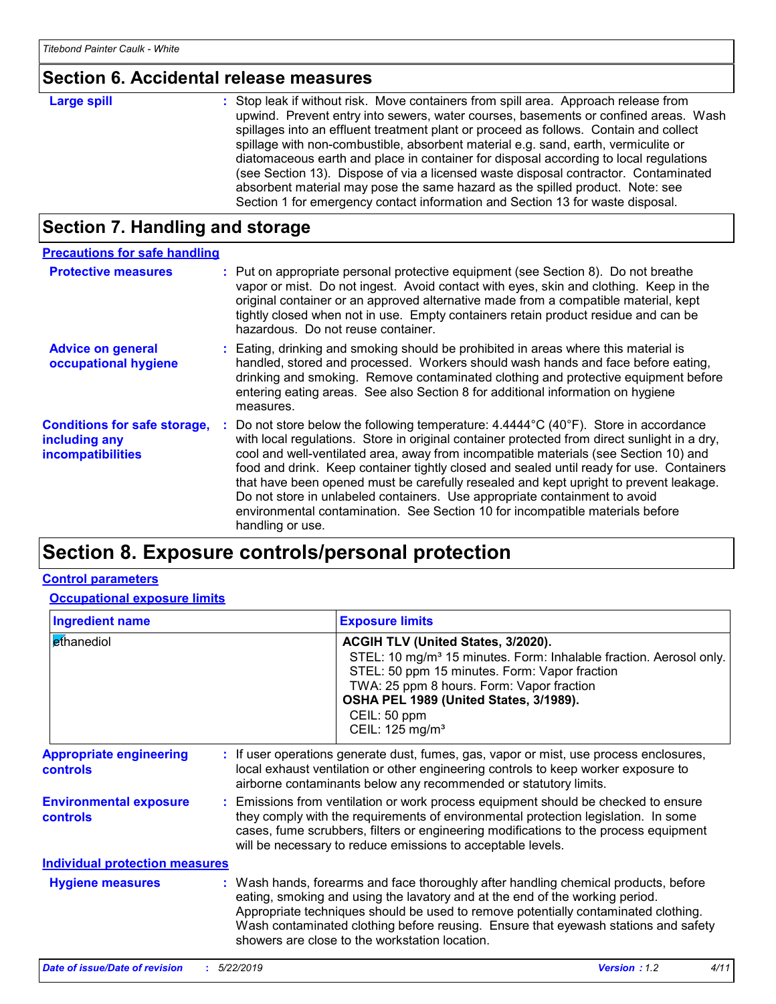### **Section 6. Accidental release measures**

| Large spill | : Stop leak if without risk. Move containers from spill area. Approach release from<br>upwind. Prevent entry into sewers, water courses, basements or confined areas. Wash<br>spillages into an effluent treatment plant or proceed as follows. Contain and collect<br>spillage with non-combustible, absorbent material e.g. sand, earth, vermiculite or<br>diatomaceous earth and place in container for disposal according to local regulations<br>(see Section 13). Dispose of via a licensed waste disposal contractor. Contaminated<br>absorbent material may pose the same hazard as the spilled product. Note: see |
|-------------|----------------------------------------------------------------------------------------------------------------------------------------------------------------------------------------------------------------------------------------------------------------------------------------------------------------------------------------------------------------------------------------------------------------------------------------------------------------------------------------------------------------------------------------------------------------------------------------------------------------------------|
|             | Section 1 for emergency contact information and Section 13 for waste disposal.                                                                                                                                                                                                                                                                                                                                                                                                                                                                                                                                             |

### **Section 7. Handling and storage**

| <b>Precautions for safe handling</b>                                             |                                                                                                                                                                                                                                                                                                                                                                                                                                                                                                                                                                                                                                                                      |
|----------------------------------------------------------------------------------|----------------------------------------------------------------------------------------------------------------------------------------------------------------------------------------------------------------------------------------------------------------------------------------------------------------------------------------------------------------------------------------------------------------------------------------------------------------------------------------------------------------------------------------------------------------------------------------------------------------------------------------------------------------------|
| <b>Protective measures</b>                                                       | : Put on appropriate personal protective equipment (see Section 8). Do not breathe<br>vapor or mist. Do not ingest. Avoid contact with eyes, skin and clothing. Keep in the<br>original container or an approved alternative made from a compatible material, kept<br>tightly closed when not in use. Empty containers retain product residue and can be<br>hazardous. Do not reuse container.                                                                                                                                                                                                                                                                       |
| <b>Advice on general</b><br>occupational hygiene                                 | : Eating, drinking and smoking should be prohibited in areas where this material is<br>handled, stored and processed. Workers should wash hands and face before eating,<br>drinking and smoking. Remove contaminated clothing and protective equipment before<br>entering eating areas. See also Section 8 for additional information on hygiene<br>measures.                                                                                                                                                                                                                                                                                                        |
| <b>Conditions for safe storage,</b><br>including any<br><b>incompatibilities</b> | : Do not store below the following temperature: $4.4444^{\circ}C(40^{\circ}F)$ . Store in accordance<br>with local regulations. Store in original container protected from direct sunlight in a dry,<br>cool and well-ventilated area, away from incompatible materials (see Section 10) and<br>food and drink. Keep container tightly closed and sealed until ready for use. Containers<br>that have been opened must be carefully resealed and kept upright to prevent leakage.<br>Do not store in unlabeled containers. Use appropriate containment to avoid<br>environmental contamination. See Section 10 for incompatible materials before<br>handling or use. |

### **Section 8. Exposure controls/personal protection**

#### **Control parameters**

**Occupational exposure limits**

| <b>Ingredient name</b>                            | <b>Exposure limits</b>                                                                                                                                                                                                                                                                                                                                                                            |  |  |
|---------------------------------------------------|---------------------------------------------------------------------------------------------------------------------------------------------------------------------------------------------------------------------------------------------------------------------------------------------------------------------------------------------------------------------------------------------------|--|--|
| ethanediol                                        | ACGIH TLV (United States, 3/2020).<br>STEL: 10 mg/m <sup>3</sup> 15 minutes. Form: Inhalable fraction. Aerosol only.<br>STEL: 50 ppm 15 minutes. Form: Vapor fraction<br>TWA: 25 ppm 8 hours. Form: Vapor fraction<br>OSHA PEL 1989 (United States, 3/1989).<br>CEIL: 50 ppm<br>CEIL: 125 mg/m <sup>3</sup>                                                                                       |  |  |
| <b>Appropriate engineering</b><br><b>controls</b> | : If user operations generate dust, fumes, gas, vapor or mist, use process enclosures,<br>local exhaust ventilation or other engineering controls to keep worker exposure to<br>airborne contaminants below any recommended or statutory limits.                                                                                                                                                  |  |  |
| <b>Environmental exposure</b><br>controls         | Emissions from ventilation or work process equipment should be checked to ensure<br>they comply with the requirements of environmental protection legislation. In some<br>cases, fume scrubbers, filters or engineering modifications to the process equipment<br>will be necessary to reduce emissions to acceptable levels.                                                                     |  |  |
| <b>Individual protection measures</b>             |                                                                                                                                                                                                                                                                                                                                                                                                   |  |  |
| <b>Hygiene measures</b>                           | : Wash hands, forearms and face thoroughly after handling chemical products, before<br>eating, smoking and using the lavatory and at the end of the working period.<br>Appropriate techniques should be used to remove potentially contaminated clothing.<br>Wash contaminated clothing before reusing. Ensure that eyewash stations and safety<br>showers are close to the workstation location. |  |  |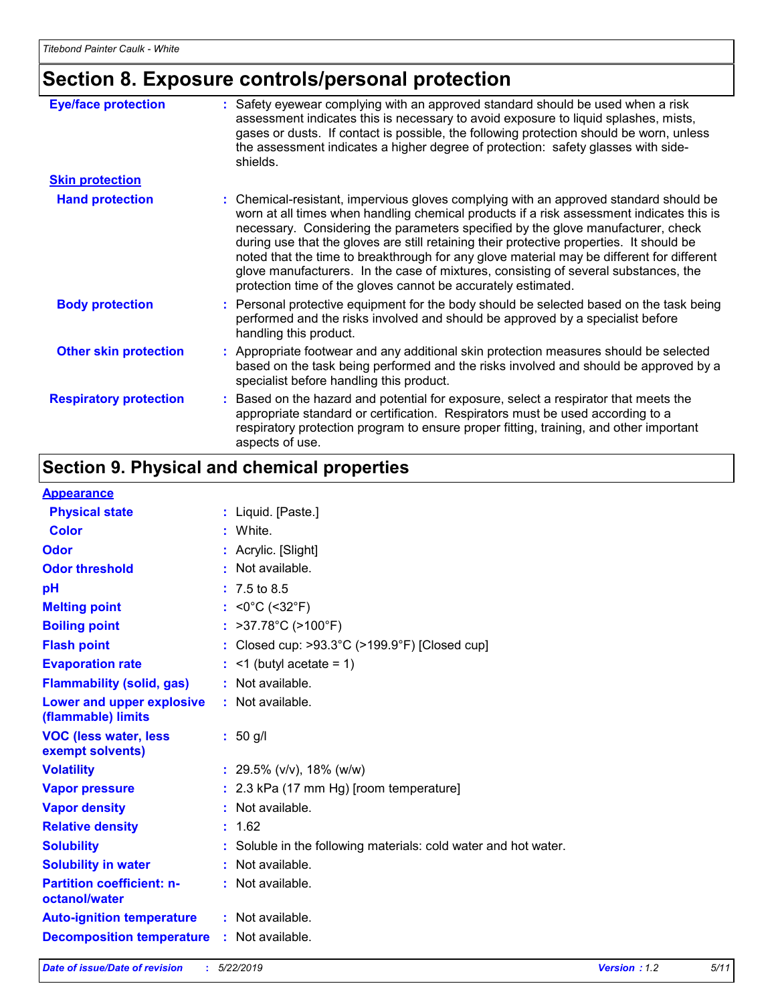### **Section 8. Exposure controls/personal protection**

| <b>Eye/face protection</b>    | : Safety eyewear complying with an approved standard should be used when a risk<br>assessment indicates this is necessary to avoid exposure to liquid splashes, mists,<br>gases or dusts. If contact is possible, the following protection should be worn, unless<br>the assessment indicates a higher degree of protection: safety glasses with side-<br>shields.                                                                                                                                                                                                                                                     |
|-------------------------------|------------------------------------------------------------------------------------------------------------------------------------------------------------------------------------------------------------------------------------------------------------------------------------------------------------------------------------------------------------------------------------------------------------------------------------------------------------------------------------------------------------------------------------------------------------------------------------------------------------------------|
| <b>Skin protection</b>        |                                                                                                                                                                                                                                                                                                                                                                                                                                                                                                                                                                                                                        |
| <b>Hand protection</b>        | : Chemical-resistant, impervious gloves complying with an approved standard should be<br>worn at all times when handling chemical products if a risk assessment indicates this is<br>necessary. Considering the parameters specified by the glove manufacturer, check<br>during use that the gloves are still retaining their protective properties. It should be<br>noted that the time to breakthrough for any glove material may be different for different<br>glove manufacturers. In the case of mixtures, consisting of several substances, the<br>protection time of the gloves cannot be accurately estimated. |
| <b>Body protection</b>        | : Personal protective equipment for the body should be selected based on the task being<br>performed and the risks involved and should be approved by a specialist before<br>handling this product.                                                                                                                                                                                                                                                                                                                                                                                                                    |
| <b>Other skin protection</b>  | : Appropriate footwear and any additional skin protection measures should be selected<br>based on the task being performed and the risks involved and should be approved by a<br>specialist before handling this product.                                                                                                                                                                                                                                                                                                                                                                                              |
| <b>Respiratory protection</b> | : Based on the hazard and potential for exposure, select a respirator that meets the<br>appropriate standard or certification. Respirators must be used according to a<br>respiratory protection program to ensure proper fitting, training, and other important<br>aspects of use.                                                                                                                                                                                                                                                                                                                                    |

### **Section 9. Physical and chemical properties**

#### **Appearance**

| : Liquid. [Paste.]                                              |
|-----------------------------------------------------------------|
| : White.                                                        |
| : Acrylic. [Slight]                                             |
| $:$ Not available.                                              |
| $: 7.5 \text{ to } 8.5$                                         |
| : <0°C (<32°F)                                                  |
| : $>37.78^{\circ}C$ ( $>100^{\circ}F$ )                         |
| : Closed cup: >93.3°C (>199.9°F) [Closed cup]                   |
| $:$ <1 (butyl acetate = 1)                                      |
| : Not available.                                                |
| : Not available.                                                |
| $: 50$ g/l                                                      |
| : 29.5% ( $v/v$ ), 18% ( $w/w$ )                                |
| $: 2.3$ kPa (17 mm Hg) [room temperature]                       |
| : Not available.                                                |
| : 1.62                                                          |
| : Soluble in the following materials: cold water and hot water. |
| : Not available.                                                |
| : Not available.                                                |
| : Not available.                                                |
| <b>Decomposition temperature : Not available.</b>               |
| <b>Auto-ignition temperature</b>                                |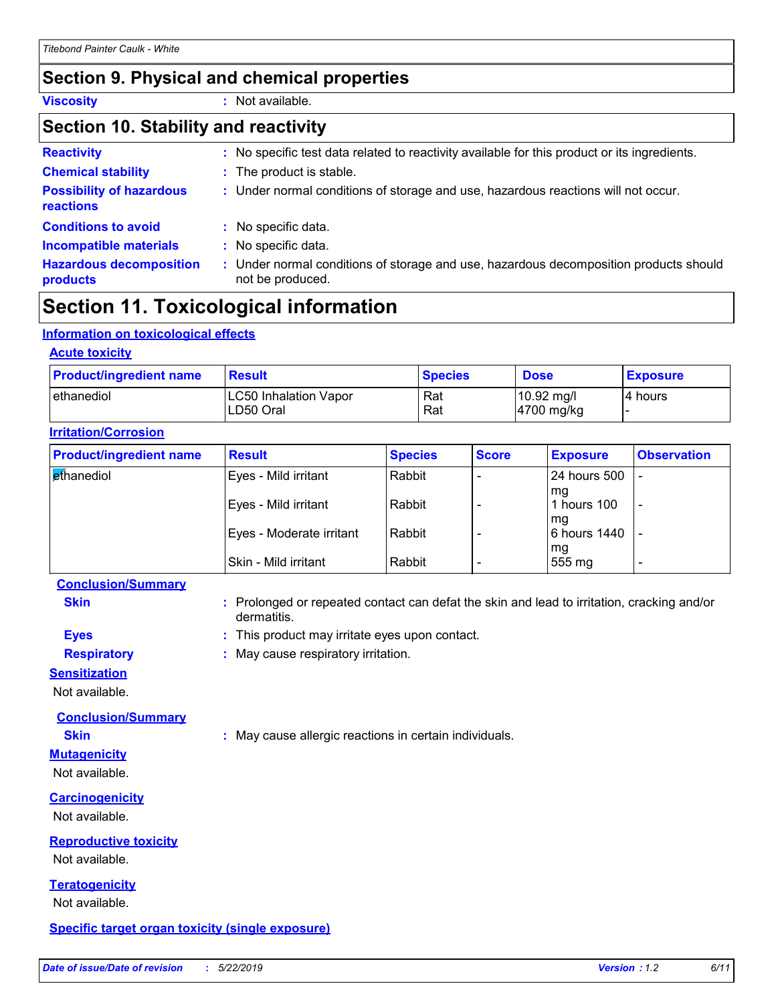### **Section 9. Physical and chemical properties**

**Viscosity :** Not available.

#### **Section 10. Stability and reactivity**

| <b>Reactivity</b>                            |    | : No specific test data related to reactivity available for this product or its ingredients.            |
|----------------------------------------------|----|---------------------------------------------------------------------------------------------------------|
| <b>Chemical stability</b>                    |    | : The product is stable.                                                                                |
| <b>Possibility of hazardous</b><br>reactions |    | : Under normal conditions of storage and use, hazardous reactions will not occur.                       |
| <b>Conditions to avoid</b>                   |    | : No specific data.                                                                                     |
| <b>Incompatible materials</b>                | t. | No specific data.                                                                                       |
| <b>Hazardous decomposition</b><br>products   | t. | Under normal conditions of storage and use, hazardous decomposition products should<br>not be produced. |

### **Section 11. Toxicological information**

#### **Information on toxicological effects**

#### **Acute toxicity** ethanediol LC50 Inhalation Vapor Rat 10.92 mg/l 4 hours LD50 Oral Rat Rat 4700 mg/kg **Product/ingredient name Result Species Dose Exposure**

| <b>Product/ingredient name</b> | <b>Result</b>            | <b>Species</b> | <b>Score</b> | <b>Exposure</b>    | <b>Observation</b>       |
|--------------------------------|--------------------------|----------------|--------------|--------------------|--------------------------|
| ethanediol                     | Eyes - Mild irritant     | Rabbit         |              | l 24 hours 500     |                          |
|                                | Eyes - Mild irritant     | Rabbit         |              | mq<br>l hours 100  | $\overline{\phantom{0}}$ |
|                                | Eyes - Moderate irritant | Rabbit         |              | mq<br>6 hours 1440 |                          |
|                                | Skin - Mild irritant     | Rabbit         |              | mg<br>555 mg       |                          |

#### **Conclusion/Summary**

**Irritation/Corrosion**

**Skin Example 3 :** Prolonged or repeated contact can defat the skin and lead to irritation, cracking and/or dermatitis.

- **Eyes :** This product may irritate eyes upon contact.
- **Respiratory :** May cause respiratory irritation.

#### **Sensitization**

Not available.

**Conclusion/Summary**

**Skin :** May cause allergic reactions in certain individuals.

### Not available.

**Mutagenicity**

**Carcinogenicity**

Not available.

#### **Reproductive toxicity**

Not available.

### **Teratogenicity**

Not available.

#### **Specific target organ toxicity (single exposure)**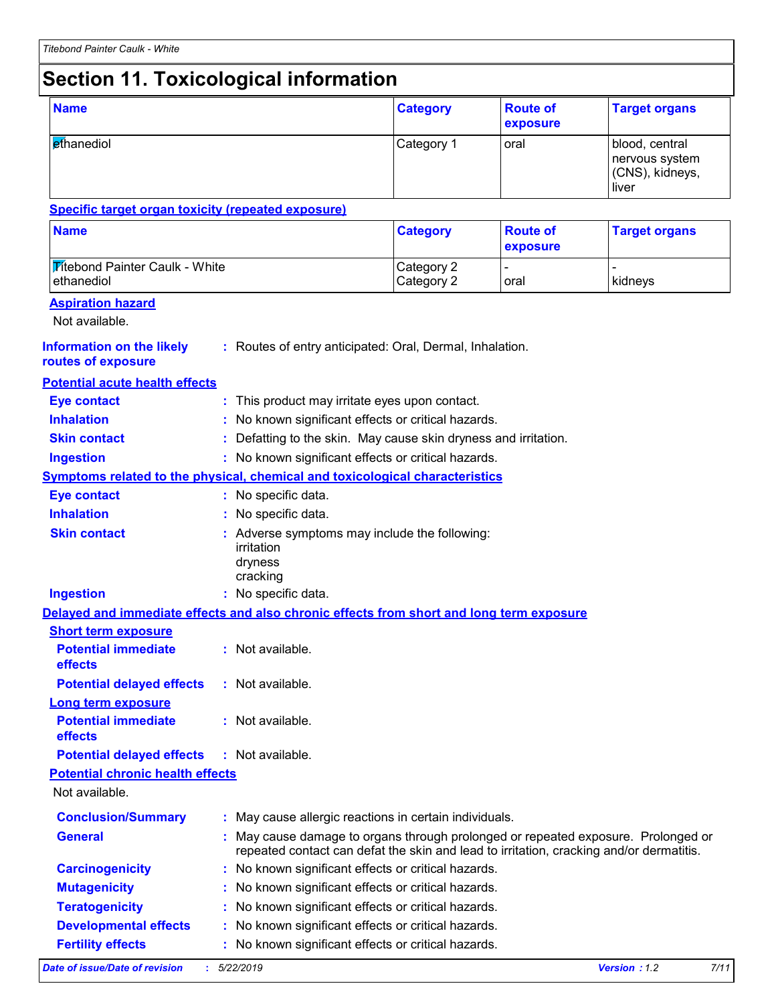### **Section 11. Toxicological information**

| <b>Name</b>                                                                              |                                                                                                                                                                            | <b>Category</b>          | <b>Route of</b><br>exposure | <b>Target organs</b>                                         |  |
|------------------------------------------------------------------------------------------|----------------------------------------------------------------------------------------------------------------------------------------------------------------------------|--------------------------|-----------------------------|--------------------------------------------------------------|--|
| ethanediol                                                                               |                                                                                                                                                                            | Category 1               | oral                        | blood, central<br>nervous system<br>(CNS), kidneys,<br>liver |  |
| <b>Specific target organ toxicity (repeated exposure)</b>                                |                                                                                                                                                                            |                          |                             |                                                              |  |
| <b>Name</b>                                                                              |                                                                                                                                                                            | <b>Category</b>          | <b>Route of</b><br>exposure | <b>Target organs</b>                                         |  |
| <b>Titebond Painter Caulk - White</b><br>ethanediol                                      |                                                                                                                                                                            | Category 2<br>Category 2 | oral                        | kidneys                                                      |  |
| <b>Aspiration hazard</b>                                                                 |                                                                                                                                                                            |                          |                             |                                                              |  |
| Not available.                                                                           |                                                                                                                                                                            |                          |                             |                                                              |  |
| <b>Information on the likely</b><br>routes of exposure                                   | : Routes of entry anticipated: Oral, Dermal, Inhalation.                                                                                                                   |                          |                             |                                                              |  |
| <b>Potential acute health effects</b>                                                    |                                                                                                                                                                            |                          |                             |                                                              |  |
| <b>Eye contact</b>                                                                       | : This product may irritate eyes upon contact.                                                                                                                             |                          |                             |                                                              |  |
| <b>Inhalation</b>                                                                        | No known significant effects or critical hazards.                                                                                                                          |                          |                             |                                                              |  |
| <b>Skin contact</b>                                                                      | Defatting to the skin. May cause skin dryness and irritation.                                                                                                              |                          |                             |                                                              |  |
| <b>Ingestion</b>                                                                         | : No known significant effects or critical hazards.                                                                                                                        |                          |                             |                                                              |  |
| Symptoms related to the physical, chemical and toxicological characteristics             |                                                                                                                                                                            |                          |                             |                                                              |  |
| <b>Eye contact</b>                                                                       | : No specific data.                                                                                                                                                        |                          |                             |                                                              |  |
| <b>Inhalation</b>                                                                        | No specific data.                                                                                                                                                          |                          |                             |                                                              |  |
| <b>Skin contact</b>                                                                      | Adverse symptoms may include the following:<br>irritation<br>dryness<br>cracking                                                                                           |                          |                             |                                                              |  |
| <b>Ingestion</b>                                                                         | : No specific data.                                                                                                                                                        |                          |                             |                                                              |  |
| Delayed and immediate effects and also chronic effects from short and long term exposure |                                                                                                                                                                            |                          |                             |                                                              |  |
| <b>Short term exposure</b>                                                               |                                                                                                                                                                            |                          |                             |                                                              |  |
| <b>Potential immediate</b><br>effects                                                    | : Not available                                                                                                                                                            |                          |                             |                                                              |  |
| <b>Potential delayed effects</b>                                                         | : Not available.                                                                                                                                                           |                          |                             |                                                              |  |
| <b>Long term exposure</b>                                                                |                                                                                                                                                                            |                          |                             |                                                              |  |
| <b>Potential immediate</b><br>effects                                                    | : Not available.                                                                                                                                                           |                          |                             |                                                              |  |
| <b>Potential delayed effects</b>                                                         | $:$ Not available.                                                                                                                                                         |                          |                             |                                                              |  |
| <b>Potential chronic health effects</b>                                                  |                                                                                                                                                                            |                          |                             |                                                              |  |
| Not available.                                                                           |                                                                                                                                                                            |                          |                             |                                                              |  |
| <b>Conclusion/Summary</b>                                                                | May cause allergic reactions in certain individuals.                                                                                                                       |                          |                             |                                                              |  |
| <b>General</b>                                                                           | May cause damage to organs through prolonged or repeated exposure. Prolonged or<br>repeated contact can defat the skin and lead to irritation, cracking and/or dermatitis. |                          |                             |                                                              |  |
| <b>Carcinogenicity</b>                                                                   | : No known significant effects or critical hazards.                                                                                                                        |                          |                             |                                                              |  |
| <b>Mutagenicity</b>                                                                      | No known significant effects or critical hazards.                                                                                                                          |                          |                             |                                                              |  |
| <b>Teratogenicity</b>                                                                    | No known significant effects or critical hazards.                                                                                                                          |                          |                             |                                                              |  |
| <b>Developmental effects</b>                                                             | No known significant effects or critical hazards.                                                                                                                          |                          |                             |                                                              |  |
| <b>Fertility effects</b>                                                                 | No known significant effects or critical hazards.                                                                                                                          |                          |                             |                                                              |  |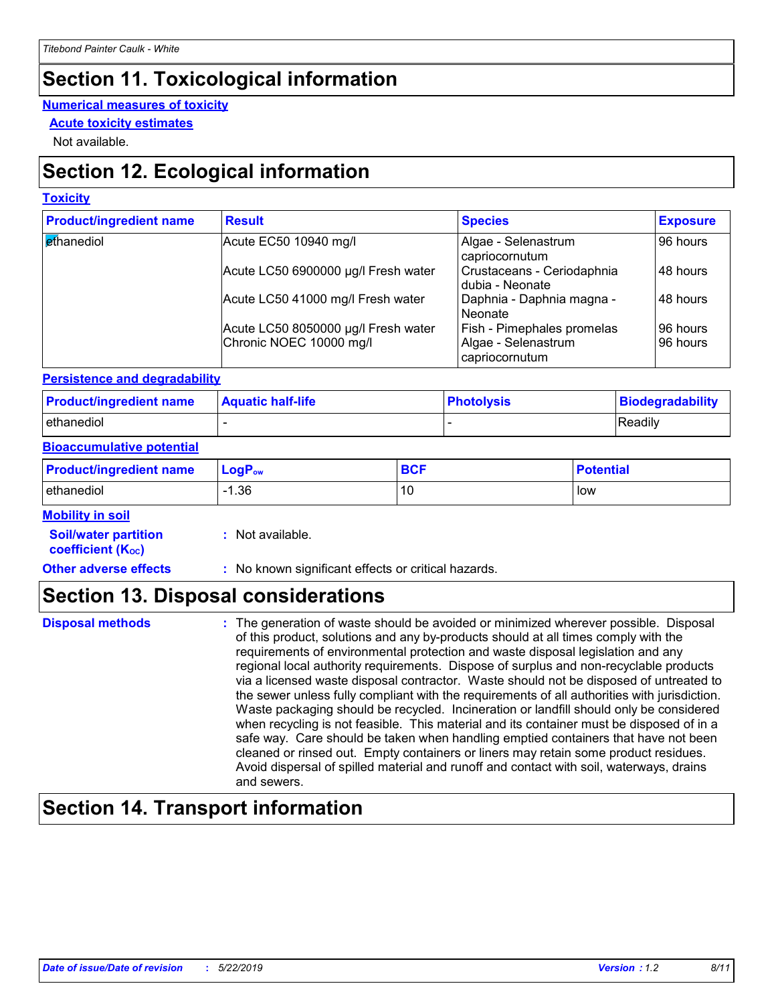### **Section 11. Toxicological information**

#### **Numerical measures of toxicity**

**Acute toxicity estimates**

Not available.

### **Section 12. Ecological information**

#### **Toxicity**

| <b>Product/ingredient name</b> | <b>Result</b>                                                  | <b>Species</b>                                                             | <b>Exposure</b>      |
|--------------------------------|----------------------------------------------------------------|----------------------------------------------------------------------------|----------------------|
| <b>ethanediol</b>              | Acute EC50 10940 mg/l                                          | Algae - Selenastrum<br>capriocornutum                                      | 96 hours             |
|                                | Acute LC50 6900000 µg/l Fresh water                            | Crustaceans - Ceriodaphnia<br>dubia - Neonate                              | 48 hours             |
|                                | Acute LC50 41000 mg/l Fresh water                              | Daphnia - Daphnia magna -<br>Neonate                                       | 48 hours             |
|                                | Acute LC50 8050000 µg/l Fresh water<br>Chronic NOEC 10000 mg/l | <b>Fish - Pimephales promelas</b><br>Algae - Selenastrum<br>capriocornutum | 96 hours<br>96 hours |

#### **Persistence and degradability**

| <b>Product/ingredient name</b> | <b>Aquatic half-life</b> | <b>Photolysis</b> | Biodegradability |
|--------------------------------|--------------------------|-------------------|------------------|
| ethanediol                     |                          |                   | Readily          |

#### **Bioaccumulative potential**

| <b>Product/ingredient name</b> | $LogP_{ow}$ | <b>BCF</b> | <b>Potential</b> |
|--------------------------------|-------------|------------|------------------|
| ethanediol                     | 36. ا       | 10         | low              |

#### **Mobility in soil**

| <b>Soil/water partition</b> | : Not available. |
|-----------------------------|------------------|
|-----------------------------|------------------|

**coefficient (K**<sub>oc</sub>)

**Other adverse effects** : No known significant effects or critical hazards.

### **Section 13. Disposal considerations**

#### The generation of waste should be avoided or minimized wherever possible. Disposal of this product, solutions and any by-products should at all times comply with the requirements of environmental protection and waste disposal legislation and any regional local authority requirements. Dispose of surplus and non-recyclable products via a licensed waste disposal contractor. Waste should not be disposed of untreated to the sewer unless fully compliant with the requirements of all authorities with jurisdiction. Waste packaging should be recycled. Incineration or landfill should only be considered when recycling is not feasible. This material and its container must be disposed of in a safe way. Care should be taken when handling emptied containers that have not been cleaned or rinsed out. Empty containers or liners may retain some product residues. Avoid dispersal of spilled material and runoff and contact with soil, waterways, drains and sewers. **Disposal methods :**

### **Section 14. Transport information**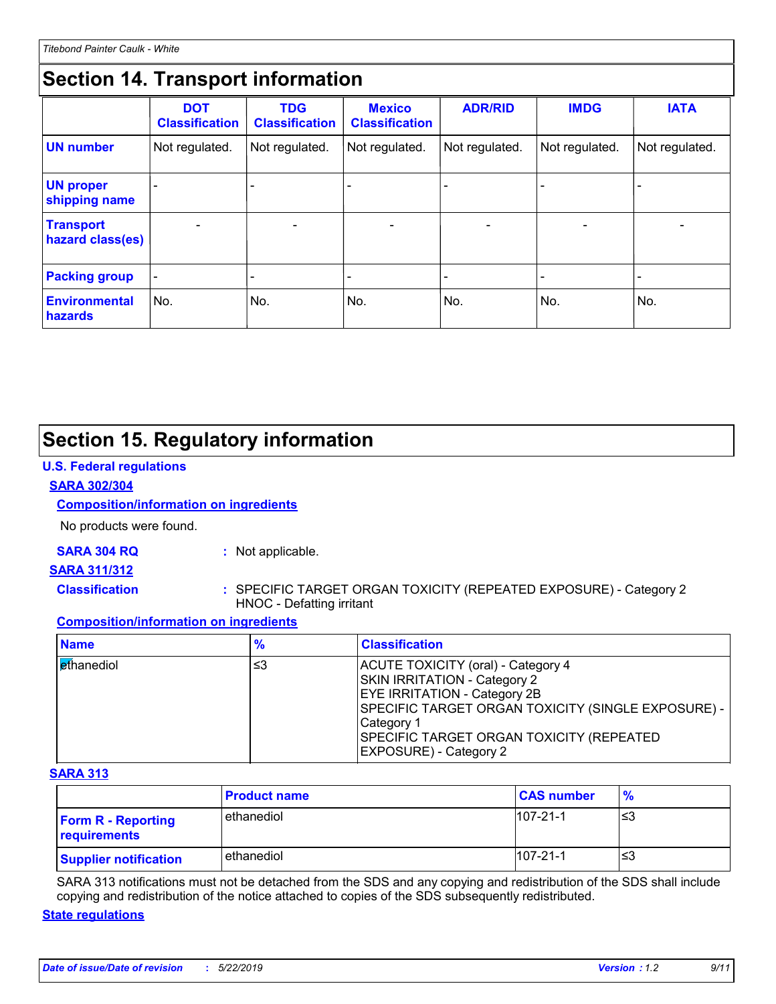### **Section 14. Transport information**

|                                        | <b>DOT</b><br><b>Classification</b> | <b>TDG</b><br><b>Classification</b> | <b>Mexico</b><br><b>Classification</b> | <b>ADR/RID</b>           | <b>IMDG</b>              | <b>IATA</b>              |
|----------------------------------------|-------------------------------------|-------------------------------------|----------------------------------------|--------------------------|--------------------------|--------------------------|
| <b>UN number</b>                       | Not regulated.                      | Not regulated.                      | Not regulated.                         | Not regulated.           | Not regulated.           | Not regulated.           |
| <b>UN proper</b><br>shipping name      |                                     |                                     |                                        |                          |                          |                          |
| <b>Transport</b><br>hazard class(es)   |                                     | $\overline{\phantom{0}}$            | $\overline{\phantom{a}}$               | $\overline{\phantom{a}}$ | $\overline{\phantom{a}}$ | $\overline{\phantom{0}}$ |
| <b>Packing group</b>                   |                                     |                                     |                                        |                          | $\overline{\phantom{0}}$ | $\overline{\phantom{0}}$ |
| <b>Environmental</b><br><b>hazards</b> | No.                                 | No.                                 | No.                                    | No.                      | No.                      | No.                      |

### **Section 15. Regulatory information**

#### **U.S. Federal regulations**

#### **SARA 302/304**

#### **Composition/information on ingredients**

No products were found.

#### **SARA 304 RQ :** Not applicable.

#### **SARA 311/312**

- 
- **Classification :** SPECIFIC TARGET ORGAN TOXICITY (REPEATED EXPOSURE) Category 2 HNOC - Defatting irritant

#### **Composition/information on ingredients**

| <b>Name</b>                     | "∕o | <b>Classification</b>                                                                                                                                                                                                                                                      |
|---------------------------------|-----|----------------------------------------------------------------------------------------------------------------------------------------------------------------------------------------------------------------------------------------------------------------------------|
| <b><i><u>et</u>hanediol</i></b> | ≤3  | ACUTE TOXICITY (oral) - Category 4<br><b>SKIN IRRITATION - Category 2</b><br><b>EYE IRRITATION - Category 2B</b><br>SPECIFIC TARGET ORGAN TOXICITY (SINGLE EXPOSURE) -<br>Category 1<br><b>SPECIFIC TARGET ORGAN TOXICITY (REPEATED)</b><br><b>EXPOSURE</b> ) - Category 2 |

#### **SARA 313**

|                                           | <b>Product name</b> | <b>CAS number</b> | $\frac{9}{6}$ |
|-------------------------------------------|---------------------|-------------------|---------------|
| <b>Form R - Reporting</b><br>requirements | l ethanediol        | $107 - 21 - 1$    | ≤3            |
| <b>Supplier notification</b>              | ethanediol          | $107 - 21 - 1$    | ≤3            |

SARA 313 notifications must not be detached from the SDS and any copying and redistribution of the SDS shall include copying and redistribution of the notice attached to copies of the SDS subsequently redistributed.

#### **State regulations**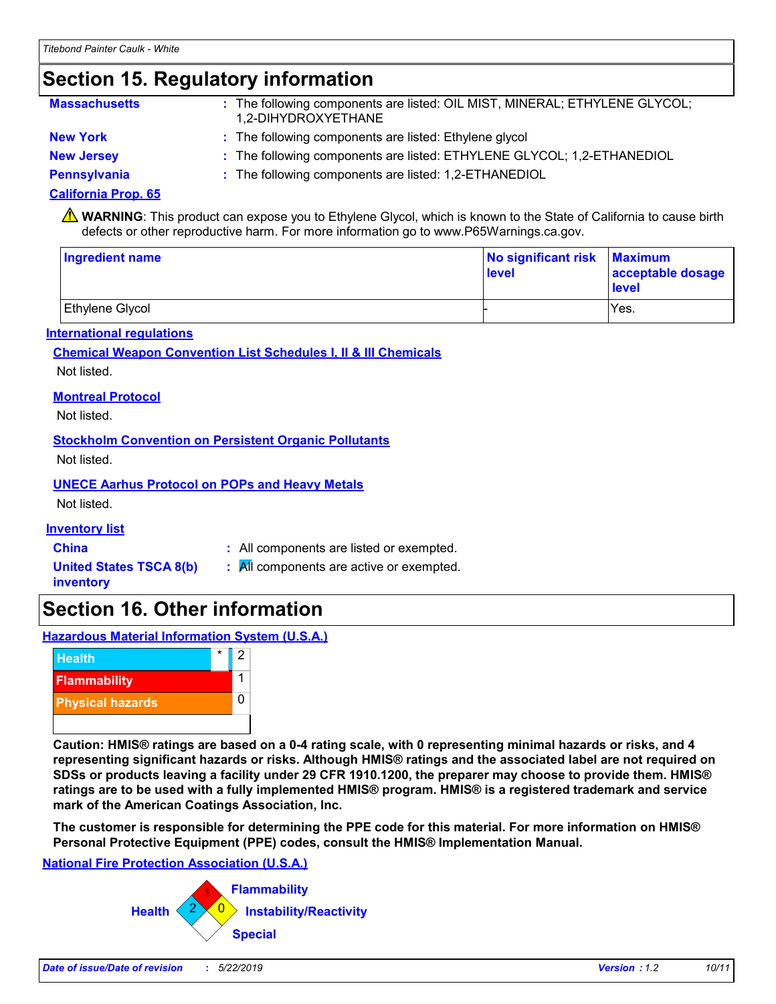### **Section 15. Regulatory information**

| <b>Massachusetts</b> | : The following components are listed: OIL MIST, MINERAL; ETHYLENE GLYCOL;<br>1.2-DIHYDROXYETHANE |
|----------------------|---------------------------------------------------------------------------------------------------|
| <b>New York</b>      | : The following components are listed: Ethylene glycol                                            |
| <b>New Jersey</b>    | : The following components are listed: ETHYLENE GLYCOL; 1,2-ETHANEDIOL                            |

**Pennsylvania :** The following components are listed: 1,2-ETHANEDIOL

#### **California Prop. 65**

**A** WARNING: This product can expose you to Ethylene Glycol, which is known to the State of California to cause birth defects or other reproductive harm. For more information go to www.P65Warnings.ca.gov.

| <b>Ingredient name</b> | No significant risk Maximum<br>level | acceptable dosage<br>level |
|------------------------|--------------------------------------|----------------------------|
| Ethylene Glycol        |                                      | Yes.                       |

#### **International regulations**

#### **Chemical Weapon Convention List Schedules I, II & III Chemicals** Not listed.

**Montreal Protocol**

Not listed.

#### **Stockholm Convention on Persistent Organic Pollutants**

Not listed.

#### **UNECE Aarhus Protocol on POPs and Heavy Metals**

Not listed.

#### **Inventory list**

**China :** All components are listed or exempted.

**United States TSCA 8(b) inventory**

- **:** All components are active or exempted.
- **Section 16. Other information**

#### **Hazardous Material Information System (U.S.A.)**



**Caution: HMIS® ratings are based on a 0-4 rating scale, with 0 representing minimal hazards or risks, and 4 representing significant hazards or risks. Although HMIS® ratings and the associated label are not required on SDSs or products leaving a facility under 29 CFR 1910.1200, the preparer may choose to provide them. HMIS® ratings are to be used with a fully implemented HMIS® program. HMIS® is a registered trademark and service mark of the American Coatings Association, Inc.**

**The customer is responsible for determining the PPE code for this material. For more information on HMIS® Personal Protective Equipment (PPE) codes, consult the HMIS® Implementation Manual.**

#### **National Fire Protection Association (U.S.A.)**